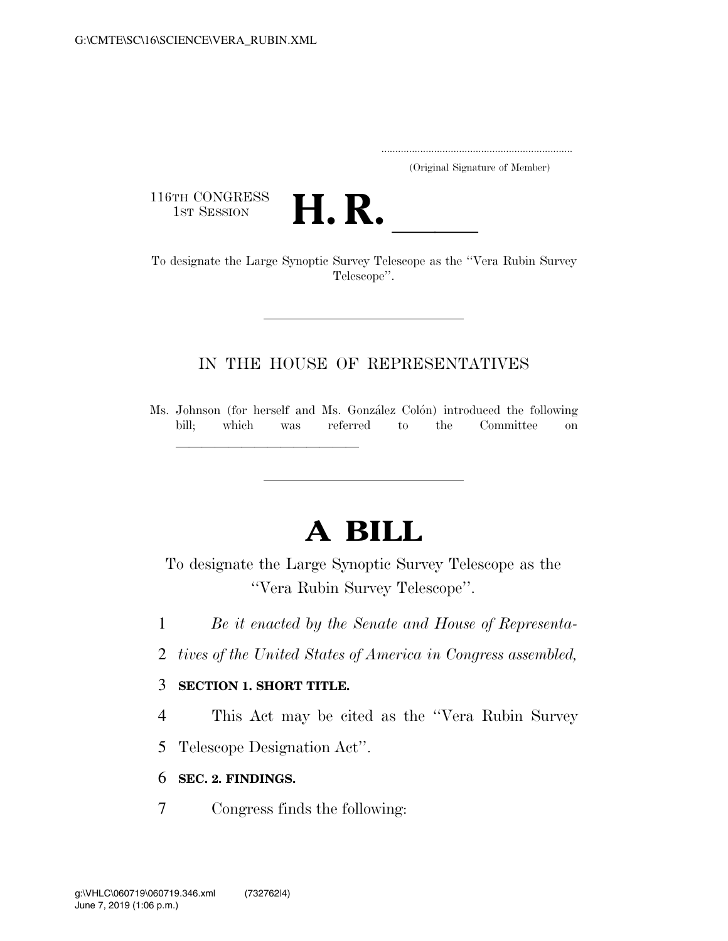.....................................................................

(Original Signature of Member)

116TH CONGRESS<br>1st Session



116TH CONGRESS<br>
1ST SESSION<br>
To designate the Large Synoptic Survey Telescope as the "Vera Rubin Survey" Telescope''.

## IN THE HOUSE OF REPRESENTATIVES

Ms. Johnson (for herself and Ms. González Colón) introduced the following bill; which was referred to the Committee on

# **A BILL**

To designate the Large Synoptic Survey Telescope as the ''Vera Rubin Survey Telescope''.

- 1 *Be it enacted by the Senate and House of Representa-*
- 2 *tives of the United States of America in Congress assembled,*

#### 3 **SECTION 1. SHORT TITLE.**

llland and a state of the state of the state of the state of the state of the state of the state of the state o

4 This Act may be cited as the ''Vera Rubin Survey

5 Telescope Designation Act''.

#### 6 **SEC. 2. FINDINGS.**

7 Congress finds the following: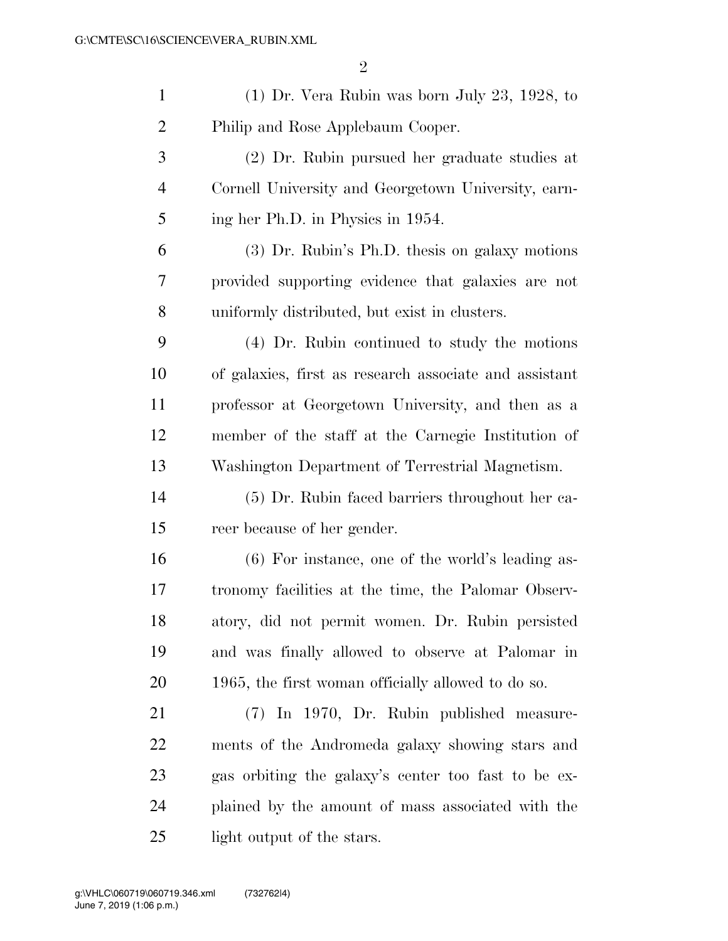| $\mathbf{1}$   | $(1)$ Dr. Vera Rubin was born July 23, 1928, to        |
|----------------|--------------------------------------------------------|
| $\overline{2}$ | Philip and Rose Applebaum Cooper.                      |
| 3              | (2) Dr. Rubin pursued her graduate studies at          |
| 4              | Cornell University and Georgetown University, earn-    |
| 5              | ing her Ph.D. in Physics in 1954.                      |
| 6              | $(3)$ Dr. Rubin's Ph.D. thesis on galaxy motions       |
| 7              | provided supporting evidence that galaxies are not     |
| 8              | uniformly distributed, but exist in clusters.          |
| 9              | (4) Dr. Rubin continued to study the motions           |
| 10             | of galaxies, first as research associate and assistant |
| 11             | professor at Georgetown University, and then as a      |
| 12             | member of the staff at the Carnegie Institution of     |
| 13             | Washington Department of Terrestrial Magnetism.        |
| 14             | (5) Dr. Rubin faced barriers throughout her ca-        |
| 15             | reer because of her gender.                            |
| 16             | (6) For instance, one of the world's leading as-       |
| 17             | tronomy facilities at the time, the Palomar Observ-    |
| 18             | atory, did not permit women. Dr. Rubin persisted       |
| 19             | and was finally allowed to observe at Palomar in       |
| <b>20</b>      | 1965, the first woman officially allowed to do so.     |
| 21             | (7) In 1970, Dr. Rubin published measure-              |
| 22             | ments of the Andromeda galaxy showing stars and        |
| 23             | gas orbiting the galaxy's center too fast to be ex-    |
| 24             | plained by the amount of mass associated with the      |
| 25             | light output of the stars.                             |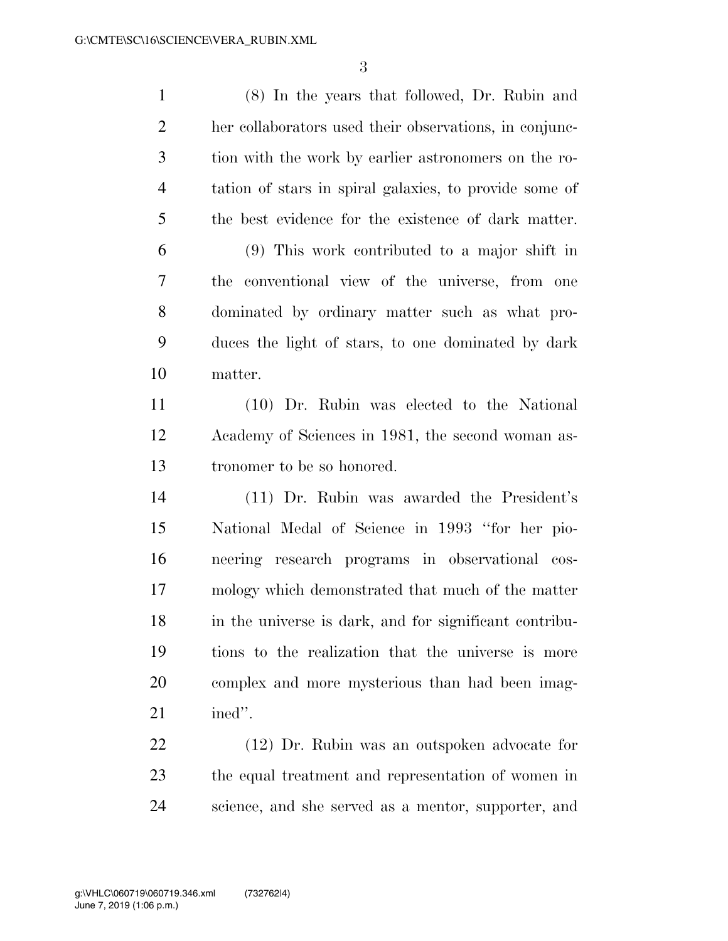(8) In the years that followed, Dr. Rubin and her collaborators used their observations, in conjunc- tion with the work by earlier astronomers on the ro- tation of stars in spiral galaxies, to provide some of the best evidence for the existence of dark matter. (9) This work contributed to a major shift in the conventional view of the universe, from one dominated by ordinary matter such as what pro- duces the light of stars, to one dominated by dark matter. (10) Dr. Rubin was elected to the National Academy of Sciences in 1981, the second woman as- tronomer to be so honored. (11) Dr. Rubin was awarded the President's National Medal of Science in 1993 ''for her pio- neering research programs in observational cos- mology which demonstrated that much of the matter in the universe is dark, and for significant contribu- tions to the realization that the universe is more complex and more mysterious than had been imag- ined''. (12) Dr. Rubin was an outspoken advocate for the equal treatment and representation of women in

science, and she served as a mentor, supporter, and